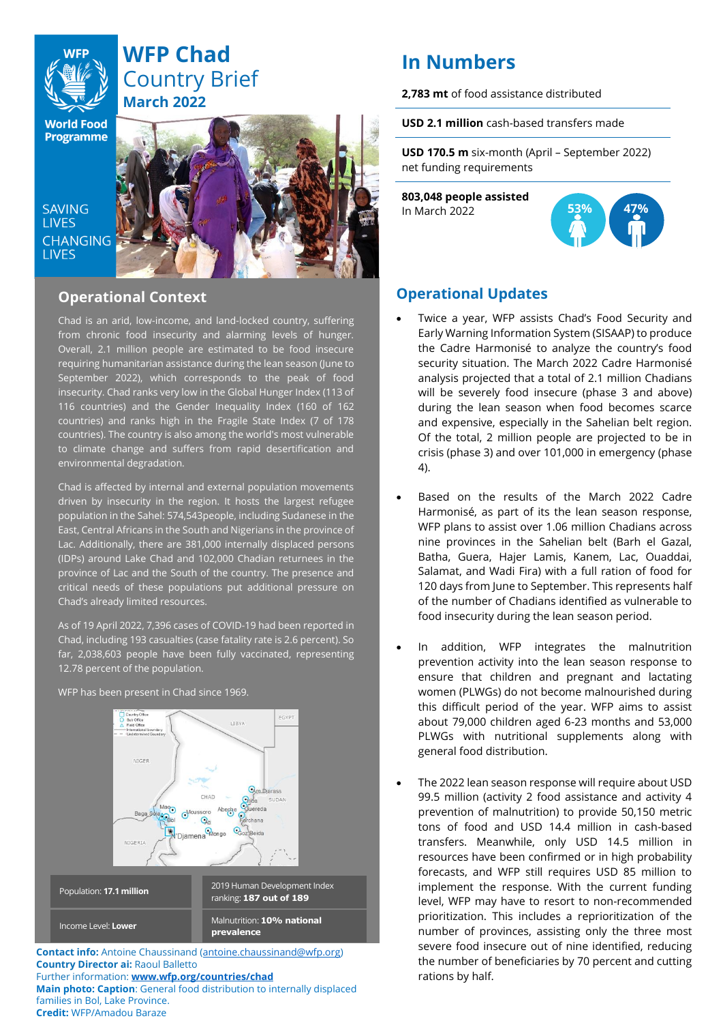

# **WFP Chad** Country Brief **March 2022**

**World Food Programme** 

SAVING **TIVES CHANGING LIVES** 



# **Operational Context**

Chad is an arid, low-income, and land-locked country, suffering from chronic food insecurity and alarming levels of hunger. Overall, 2.1 million people are estimated to be food insecure requiring humanitarian assistance during the lean season (June to September 2022), which corresponds to the peak of food insecurity. Chad ranks very low in the Global Hunger Index (113 of 116 countries) and the Gender Inequality Index (160 of 162 countries) and ranks high in the Fragile State Index (7 of 178 countries). The country is also among the world's most vulnerable to climate change and suffers from rapid desertification and environmental degradation.

Chad is affected by internal and external population movements driven by insecurity in the region. It hosts the largest refugee population in the Sahel: 574,543people, including Sudanese in the East, Central Africans in the South and Nigerians in the province of Lac. Additionally, there are 381,000 internally displaced persons (IDPs) around Lake Chad and 102,000 Chadian returnees in the province of Lac and the South of the country. The presence and critical needs of these populations put additional pressure on Chad's already limited resources.

As of 19 April 2022, 7,396 cases of COVID-19 had been reported in Chad, including 193 casualties (case fatality rate is 2.6 percent). So far, 2,038,603 people have been fully vaccinated, representing 12.78 percent of the population.

EGYPT **TRY** NIGER CHAD Mago Abeche Moussorc  $\odot$  $Q_{\text{Mondo}}$ l'Diamena 2019 Human Development Index Population: **17.1 million** ranking: **187 out of 189** Malnutrition: **10% national**  Income Level: **Lower prevalence** 

WFP has been present in Chad since 1969.

**Contact info:** Antoine Chaussinand [\(antoine.chaussinand@wfp.org\)](mailto:antoine.chaussinand@wfp.org) **Country Director ai:** Raoul Balletto Further information: **www.wfp.org/countries/chad Main photo: Caption**: General food distribution to internally displaced families in Bol, Lake Province. **Credit:** WFP/Amadou Baraze

# **In Numbers**

**2,783 mt** of food assistance distributed

**USD 2.1 million** cash-based transfers made

**USD 170.5 m** six-month (April – September 2022) net funding requirements

**803,048 people assisted**  In March 2022



# **Operational Updates**

- Twice a year, WFP assists Chad's Food Security and Early Warning Information System (SISAAP) to produce the Cadre Harmonisé to analyze the country's food security situation. The March 2022 Cadre Harmonisé analysis projected that a total of 2.1 million Chadians will be severely food insecure (phase 3 and above) during the lean season when food becomes scarce and expensive, especially in the Sahelian belt region. Of the total, 2 million people are projected to be in crisis (phase 3) and over 101,000 in emergency (phase 4).
- Based on the results of the March 2022 Cadre Harmonisé, as part of its the lean season response, WFP plans to assist over 1.06 million Chadians across nine provinces in the Sahelian belt (Barh el Gazal, Batha, Guera, Hajer Lamis, Kanem, Lac, Ouaddai, Salamat, and Wadi Fira) with a full ration of food for 120 days from June to September. This represents half of the number of Chadians identified as vulnerable to food insecurity during the lean season period.
- In addition, WFP integrates the malnutrition prevention activity into the lean season response to ensure that children and pregnant and lactating women (PLWGs) do not become malnourished during this difficult period of the year. WFP aims to assist about 79,000 children aged 6-23 months and 53,000 PLWGs with nutritional supplements along with general food distribution.
- The 2022 lean season response will require about USD 99.5 million (activity 2 food assistance and activity 4 prevention of malnutrition) to provide 50,150 metric tons of food and USD 14.4 million in cash-based transfers. Meanwhile, only USD 14.5 million in resources have been confirmed or in high probability forecasts, and WFP still requires USD 85 million to implement the response. With the current funding level, WFP may have to resort to non-recommended prioritization. This includes a reprioritization of the number of provinces, assisting only the three most severe food insecure out of nine identified, reducing the number of beneficiaries by 70 percent and cutting rations by half.